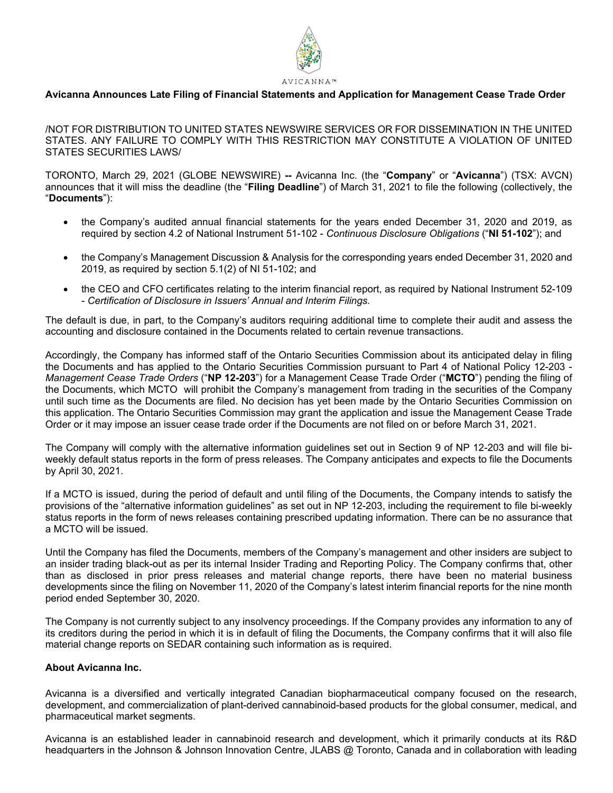

# **Avicanna Announces Late Filing of Financial Statements and Application for Management Cease Trade Order**

/NOT FOR DISTRIBUTION TO UNITED STATES NEWSWIRE SERVICES OR FOR DISSEMINATION IN THE UNITED STATES. ANY FAILURE TO COMPLY WITH THIS RESTRICTION MAY CONSTITUTE A VIOLATION OF UNITED STATES SECURITIES LAWS/

TORONTO, March 29, 2021 (GLOBE NEWSWIRE) **--** Avicanna Inc. (the "**Company**" or "**Avicanna**") (TSX: AVCN) announces that it will miss the deadline (the "**Filing Deadline**") of March 31, 2021 to file the following (collectively, the "**Documents**"):

- the Company's audited annual financial statements for the years ended December 31, 2020 and 2019, as required by section 4.2 of National Instrument 51-102 - *Continuous Disclosure Obligations* ("**NI 51-102**"); and
- the Company's Management Discussion & Analysis for the corresponding years ended December 31, 2020 and 2019, as required by section 5.1(2) of NI 51-102; and
- the CEO and CFO certificates relating to the interim financial report, as required by National Instrument 52-109 - *Certification of Disclosure in Issuers' Annual and Interim Filings.*

The default is due, in part, to the Company's auditors requiring additional time to complete their audit and assess the accounting and disclosure contained in the Documents related to certain revenue transactions.

Accordingly, the Company has informed staff of the Ontario Securities Commission about its anticipated delay in filing the Documents and has applied to the Ontario Securities Commission pursuant to Part 4 of National Policy 12-203 - *Management Cease Trade Orders* ("**NP 12-203**") for a Management Cease Trade Order ("**MCTO**") pending the filing of the Documents, which MCTO will prohibit the Company's management from trading in the securities of the Company until such time as the Documents are filed. No decision has yet been made by the Ontario Securities Commission on this application. The Ontario Securities Commission may grant the application and issue the Management Cease Trade Order or it may impose an issuer cease trade order if the Documents are not filed on or before March 31, 2021.

The Company will comply with the alternative information guidelines set out in Section 9 of NP 12-203 and will file biweekly default status reports in the form of press releases. The Company anticipates and expects to file the Documents by April 30, 2021.

If a MCTO is issued, during the period of default and until filing of the Documents, the Company intends to satisfy the provisions of the "alternative information guidelines" as set out in NP 12-203, including the requirement to file bi-weekly status reports in the form of news releases containing prescribed updating information. There can be no assurance that a MCTO will be issued.

Until the Company has filed the Documents, members of the Company's management and other insiders are subject to an insider trading black-out as per its internal Insider Trading and Reporting Policy. The Company confirms that, other than as disclosed in prior press releases and material change reports, there have been no material business developments since the filing on November 11, 2020 of the Company's latest interim financial reports for the nine month period ended September 30, 2020.

The Company is not currently subject to any insolvency proceedings. If the Company provides any information to any of its creditors during the period in which it is in default of filing the Documents, the Company confirms that it will also file material change reports on SEDAR containing such information as is required.

#### **About Avicanna Inc.**

Avicanna is a diversified and vertically integrated Canadian biopharmaceutical company focused on the research, development, and commercialization of plant-derived cannabinoid-based products for the global consumer, medical, and pharmaceutical market segments.

Avicanna is an established leader in cannabinoid research and development, which it primarily conducts at its R&D headquarters in the Johnson & Johnson Innovation Centre, JLABS @ Toronto, Canada and in collaboration with leading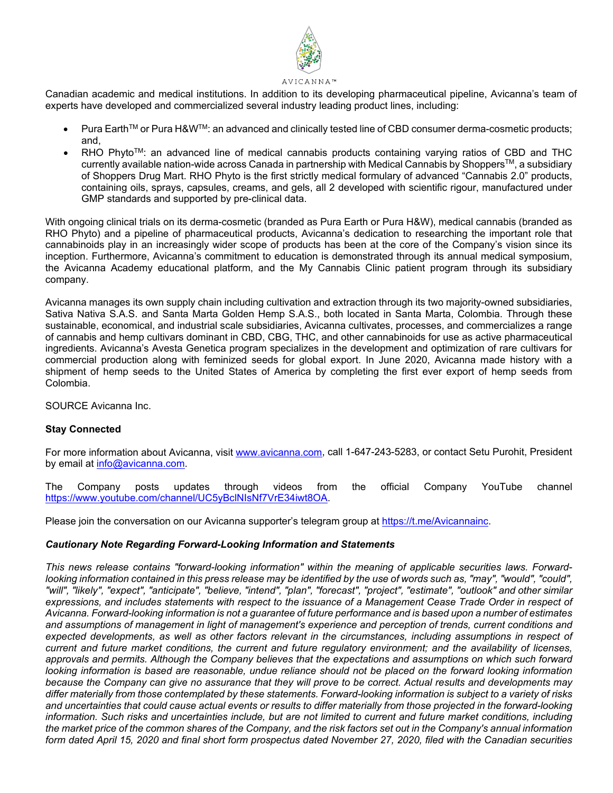

Canadian academic and medical institutions. In addition to its developing pharmaceutical pipeline, Avicanna's team of experts have developed and commercialized several industry leading product lines, including:

- Pura EarthTM or Pura H&WTM: an advanced and clinically tested line of CBD consumer derma-cosmetic products; and,
- $RHO$  Phyto<sup>TM</sup>: an advanced line of medical cannabis products containing varying ratios of CBD and THC currently available nation-wide across Canada in partnership with Medical Cannabis by Shoppers™, a subsidiary of Shoppers Drug Mart. RHO Phyto is the first strictly medical formulary of advanced "Cannabis 2.0" products, containing oils, sprays, capsules, creams, and gels, all 2 developed with scientific rigour, manufactured under GMP standards and supported by pre-clinical data.

With ongoing clinical trials on its derma-cosmetic (branded as Pura Earth or Pura H&W), medical cannabis (branded as RHO Phyto) and a pipeline of pharmaceutical products, Avicanna's dedication to researching the important role that cannabinoids play in an increasingly wider scope of products has been at the core of the Company's vision since its inception. Furthermore, Avicanna's commitment to education is demonstrated through its annual medical symposium, the Avicanna Academy educational platform, and the My Cannabis Clinic patient program through its subsidiary company.

Avicanna manages its own supply chain including cultivation and extraction through its two majority-owned subsidiaries, Sativa Nativa S.A.S. and Santa Marta Golden Hemp S.A.S., both located in Santa Marta, Colombia. Through these sustainable, economical, and industrial scale subsidiaries, Avicanna cultivates, processes, and commercializes a range of cannabis and hemp cultivars dominant in CBD, CBG, THC, and other cannabinoids for use as active pharmaceutical ingredients. Avicanna's Avesta Genetica program specializes in the development and optimization of rare cultivars for commercial production along with feminized seeds for global export. In June 2020, Avicanna made history with a shipment of hemp seeds to the United States of America by completing the first ever export of hemp seeds from Colombia.

SOURCE Avicanna Inc.

# **Stay Connected**

For more information about Avicanna, visit [www.avicanna.com,](http://www.avicanna.com/) call 1-647-243-5283, or contact Setu Purohit, President by email at [info@avicanna.com.](mailto:info@avicanna.com)

The Company posts updates through videos from the official Company YouTube channel [https://www.youtube.com/channel/UC5yBclNIsNf7VrE34iwt8OA.](https://www.youtube.com/channel/UC5yBclNIsNf7VrE34iwt8OA)

Please join the conversation on our Avicanna supporter's telegram group a[t https://t.me/Avicannainc.](https://t.me/Avicannainc)

# *Cautionary Note Regarding Forward-Looking Information and Statements*

*This news release contains "forward-looking information" within the meaning of applicable securities laws. Forward*looking information contained in this press release may be identified by the use of words such as, "may", "would", "could", *"will", "likely", "expect", "anticipate", "believe, "intend", "plan", "forecast", "project", "estimate", "outlook" and other similar expressions, and includes statements with respect to the issuance of a Management Cease Trade Order in respect of Avicanna. Forward-looking information is not a guarantee of future performance and is based upon a number of estimates and assumptions of management in light of management's experience and perception of trends, current conditions and*  expected developments, as well as other factors relevant in the circumstances, including assumptions in respect of *current and future market conditions, the current and future regulatory environment; and the availability of licenses, approvals and permits. Although the Company believes that the expectations and assumptions on which such forward looking information is based are reasonable, undue reliance should not be placed on the forward looking information because the Company can give no assurance that they will prove to be correct. Actual results and developments may differ materially from those contemplated by these statements. Forward-looking information is subject to a variety of risks and uncertainties that could cause actual events or results to differ materially from those projected in the forward-looking information. Such risks and uncertainties include, but are not limited to current and future market conditions, including the market price of the common shares of the Company, and the risk factors set out in the Company's annual information form dated April 15, 2020 and final short form prospectus dated November 27, 2020, filed with the Canadian securities*